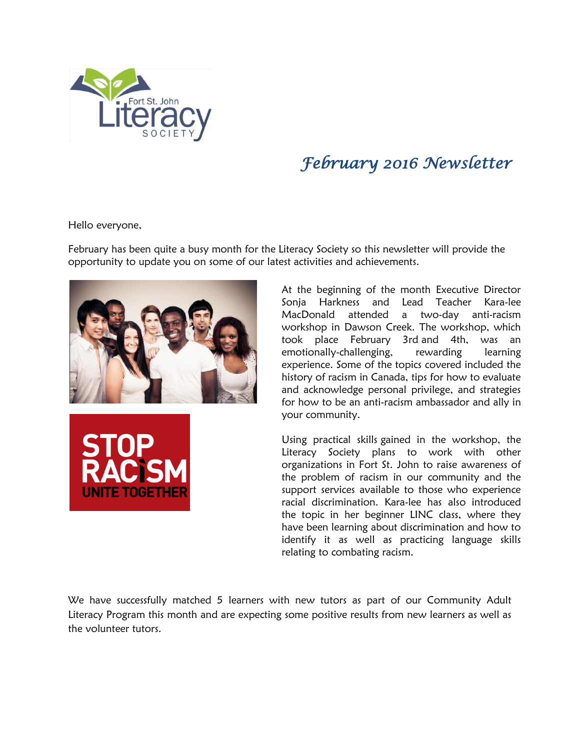

## *February 2016 Newsletter*

Hello everyone,

February has been quite a busy month for the Literacy Society so this newsletter will provide the opportunity to update you on some of our latest activities and achievements.





At the beginning of the month Executive Director Sonja Harkness and Lead Teacher Kara-lee MacDonald attended a two-day anti-racism workshop in Dawson Creek. The workshop, which took place February 3rd and 4th, was an emotionally-challenging, rewarding learning experience. Some of the topics covered included the history of racism in Canada, tips for how to evaluate and acknowledge personal privilege, and strategies for how to be an anti-racism ambassador and ally in your community.

Using practical skills gained in the workshop, the Literacy Society plans to work with other organizations in Fort St. John to raise awareness of the problem of racism in our community and the support services available to those who experience racial discrimination. Kara-lee has also introduced the topic in her beginner LINC class, where they have been learning about discrimination and how to identify it as well as practicing language skills relating to combating racism.

We have successfully matched 5 learners with new tutors as part of our Community Adult Literacy Program this month and are expecting some positive results from new learners as well as the volunteer tutors.